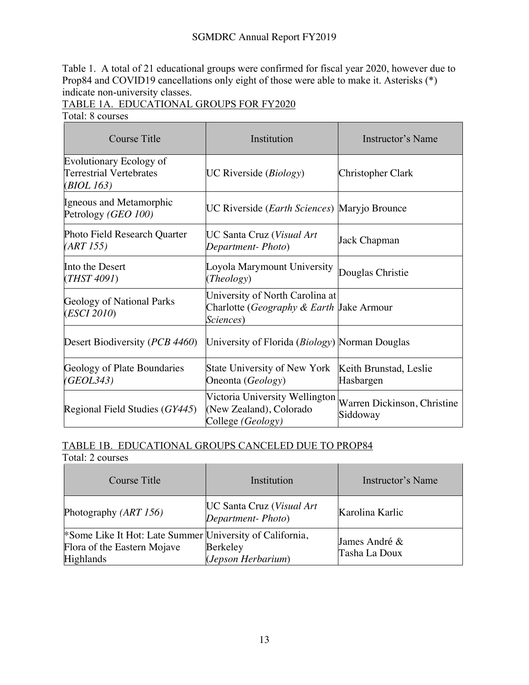## SGMDRC Annual Report FY2019

Table 1. A total of 21 educational groups were confirmed for fiscal year 2020, however due to Prop84 and COVID19 cancellations only eight of those were able to make it. Asterisks (\*) indicate non-university classes.

## TABLE 1A. EDUCATIONAL GROUPS FOR FY2020

Total: 8 courses

| <b>Course Title</b>                                                              | Institution<br>Instructor's Name                                                         |                                         |
|----------------------------------------------------------------------------------|------------------------------------------------------------------------------------------|-----------------------------------------|
| <b>Evolutionary Ecology of</b><br>Terrestrial Vertebrates<br>( <i>BIOL 163</i> ) | UC Riverside $(Biology)$                                                                 | Christopher Clark                       |
| Igneous and Metamorphic<br>Petrology (GEO 100)                                   | UC Riverside ( <i>Earth Sciences</i> ) Maryjo Brounce                                    |                                         |
| Photo Field Research Quarter<br>(ART 155)                                        | UC Santa Cruz ( <i>Visual Art</i><br>Department-Photo)                                   | Jack Chapman                            |
| Into the Desert<br>( <i>THST 4091</i> )                                          | Loyola Marymount University<br>(Theology)                                                | Douglas Christie                        |
| <b>Geology of National Parks</b><br>( <i>ESCI</i> 2010)                          | University of North Carolina at<br>Charlotte (Geography & Earth Jake Armour<br>Sciences) |                                         |
| Desert Biodiversity ( <i>PCB 4460</i> )                                          | University of Florida ( <i>Biology</i> ) Norman Douglas                                  |                                         |
| Geology of Plate Boundaries<br>(GEOL343)                                         | State University of New York<br>Oneonta (Geology)                                        | Keith Brunstad, Leslie<br>Hasbargen     |
| Regional Field Studies (GY445)                                                   | Victoria University Wellington<br>(New Zealand), Colorado<br>College (Geology)           | Warren Dickinson, Christine<br>Siddoway |

## TABLE 1B. EDUCATIONAL GROUPS CANCELED DUE TO PROP84

Total: 2 courses

| Course Title                                                                                                     | Institution                                           | Instructor's Name              |
|------------------------------------------------------------------------------------------------------------------|-------------------------------------------------------|--------------------------------|
| Photography ( <i>ART 156</i> )                                                                                   | <b>UC Santa Cruz (Visual Art</b><br>Department-Photo) | Karolina Karlic                |
| <sup>*</sup> Some Like It Hot: Late Summer University of California,<br>Flora of the Eastern Mojave<br>Highlands | Berkeley<br>(Jepson Herbarium)                        | James André &<br>Tasha La Doux |